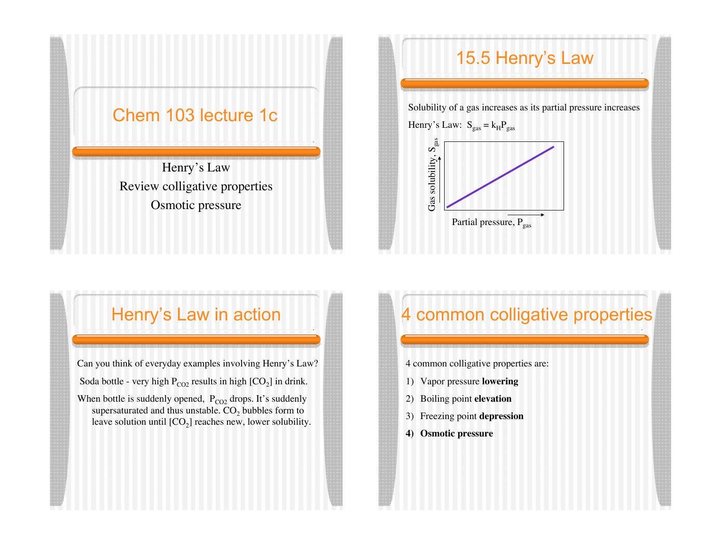### Chem 103 lecture 1c

Henry's Law Review colligative properties Osmotic pressure

## 15.5 Henry's Law

Solubility of a gas increases as its partial pressure increases

Henry's Law:  $S_{gas} = k_H P_{gas}$ 



### Henry's Law in action

Can you think of everyday examples involving Henry's Law? Soda bottle - very high  $P_{CO2}$  results in high  $[CO<sub>2</sub>]$  in drink.

When bottle is suddenly opened,  $P_{CO2}$  drops. It's suddenly supersaturated and thus unstable. CO<sub>2</sub> bubbles form to leave solution until  $[CO_2]$  reaches new, lower solubility.

# 4 common colligative properties

4 common colligative properties are:

- 1) Vapor pressure **lowering**
- 2) Boiling point **elevation**
- 3) Freezing point **depression**
- **4) Osmotic pressure**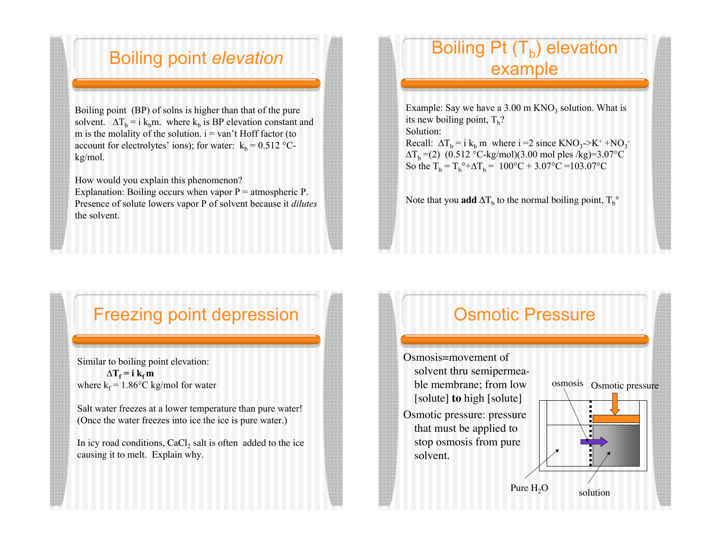### Boiling point *elevation*

Boiling point (BP) of solns is higher than that of the pure solvent.  $\Delta T_b = i k_b m$ . where k<sub>b</sub> is BP elevation constant and m is the molality of the solution.  $i = \text{van'}t$  Hoff factor (to account for electrolytes' ions); for water:  $k_b = 0.512$  °Ckg/mol.

How would you explain this phenomenon? Explanation: Boiling occurs when vapor  $P =$  atmospheric P. Presence of solute lowers vapor P of solvent because it *dilutes* the solvent.

### Boiling Pt  $(T_b)$  elevation example

Example: Say we have a  $3.00 \text{ m KNO}_3$  solution. What is its new boiling point,  $T<sub>b</sub>$ ? Solution: Recall:  $\Delta T_b = i k_b m$  where  $i = 2$  since  $KNO_3 > K^+ + NO_3$  $\Delta T_b = (2)$  (0.512 °C-kg/mol)(3.00 mol ples /kg)=3.07°C So the  $T_b = T_b^{\circ} + \Delta T_b = 100^{\circ}\text{C} + 3.07^{\circ}\text{C} = 103.07^{\circ}\text{C}$ 

Note that you **add**  $\Delta T_b$  to the normal boiling point,  $T_b^{\circ}$ 

### Freezing point depression

Similar to boiling point elevation:  $\Delta T_f = i k_f m$ where  $k_f = 1.86$ °C kg/mol for water

Salt water freezes at a lower temperature than pure water! (Once the water freezes into ice the ice is pure water.)

In icy road conditions,  $CaCl<sub>2</sub>$  salt is often added to the ice causing it to melt. Explain why.

## Osmotic Pressure

Osmosis=movement of solvent thru semipermeable membrane; from low [solute] **to** high [solute] Osmotic pressure: pressure that must be applied to stop osmosis from pure solvent.

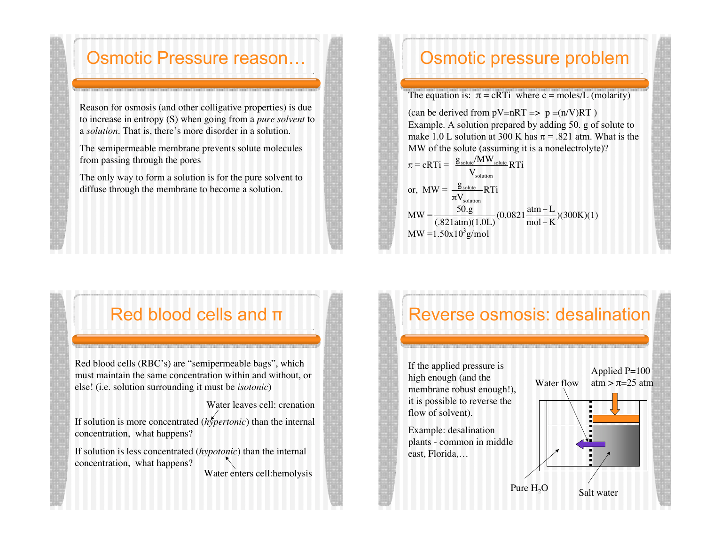#### Osmotic Pressure reason…

Reason for osmosis (and other colligative properties) is due to increase in entropy (S) when going from a *pure solvent* to a *solution*. That is, there's more disorder in a solution.

The semipermeable membrane prevents solute molecules from passing through the pores

The only way to form a solution is for the pure solvent to diffuse through the membrane to become a solution.

## Osmotic pressure problem

The equation is:  $\pi = cRT$  where c = moles/L (molarity)

(can be derived from  $pV=nRT \implies p = (n/V)RT$ ) Example. A solution prepared by adding 50. g of solute to make 1.0 L solution at 300 K has  $\pi$  = .821 atm. What is the MW of the solute (assuming it is a nonelectrolyte)?

$$
\pi = cRTi = \frac{g_{\text{solute}}/MW_{\text{solute}}}{V_{\text{solution}}} RTi
$$
\nor, MW =  $\frac{g_{\text{solute}}}{\pi V_{\text{solution}}} RTi$   
\nMW =  $\frac{50.g}{(.821atm)(1.0L)}(0.0821 \frac{atm - L}{mol - K})(300K)(1)$   
\nMW = 1.50x10<sup>3</sup>g/mol

## Red blood cells and  $\pi$

Red blood cells (RBC's) are "semipermeable bags", which must maintain the same concentration within and without, or else! (i.e. solution surrounding it must be *isotonic*)

If solution is more concentrated (*hypertonic*) than the internal concentration, what happens?

Water leaves cell: crenation

If solution is less concentrated (*hypotonic*) than the internal concentration, what happens? Water enters cell:hemolysis

## Reverse osmosis: desalination

If the applied pressure is high enough (and the membrane robust enough!), it is possible to reverse the flow of solvent).

Example: desalination plants - common in middle east, Florida,…